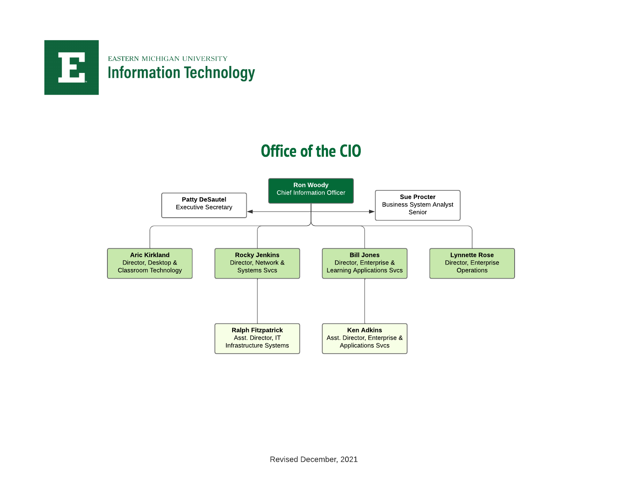

### **Office of the CIO**

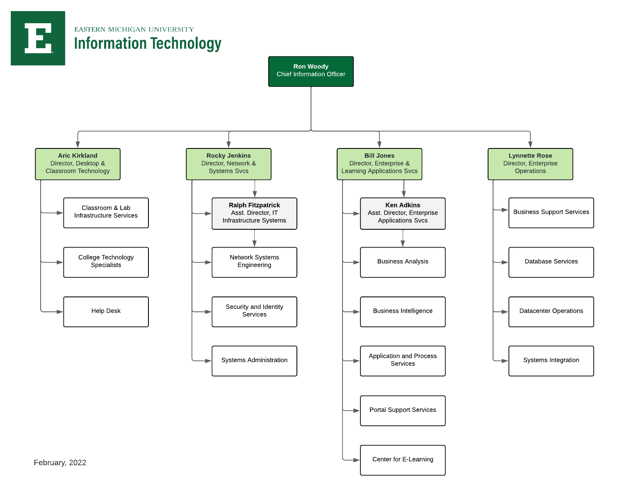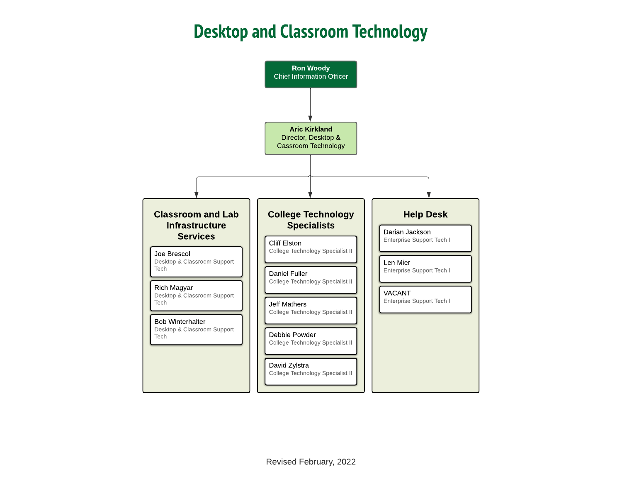# Desktop and Classroom Technology

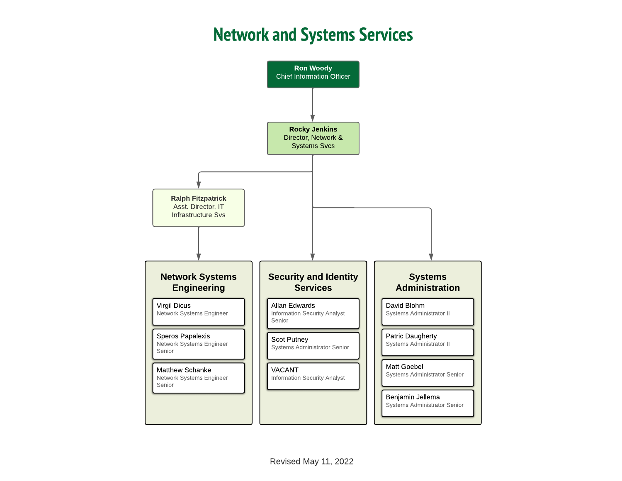#### **Network and Systems Services**

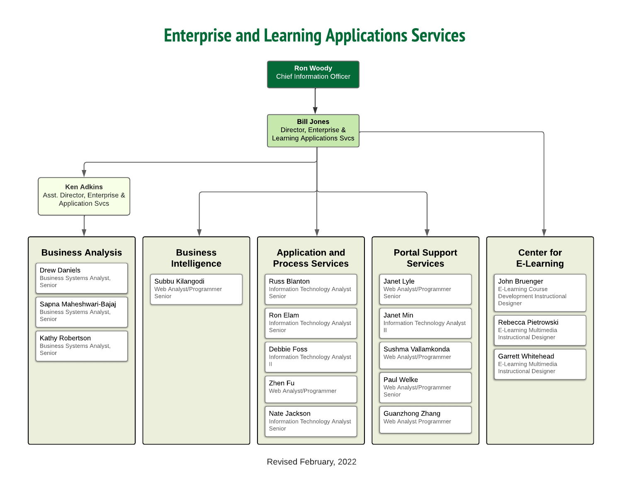# **Enterprise and Learning Applications Services**